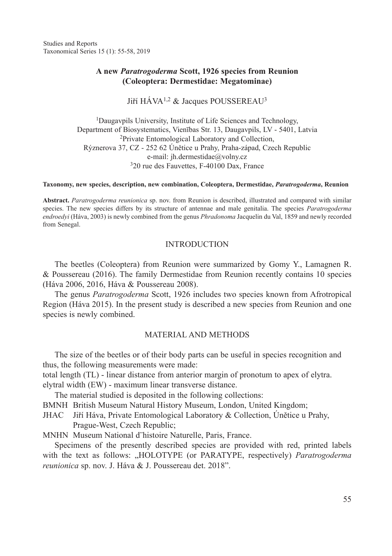Studies and Reports Taxonomical Series 15 (1): 55-58, 2019

# **A new** *Paratrogoderma* **Scott, 1926 species from Reunion (Coleoptera: Dermestidae: Megatominae)**

Jiří HÁVA<sup>1,2</sup> & Jacques POUSSEREAU<sup>3</sup>

<sup>1</sup>Daugavpils University, Institute of Life Sciences and Technology, Department of Biosystematics, Vienības Str. 13, Daugavpils, LV - 5401, Latvia <sup>2</sup>Private Entomological Laboratory and Collection, Rýznerova 37, CZ - 252 62 Únětice u Prahy, Praha-západ, Czech Republic e-mail: jh.dermestidae@volny.cz <sup>3</sup>20 rue des Fauvettes, F-40100 Dax, France

#### **Taxonomy, new species, description, new combination, Coleoptera, Dermestidae,** *Paratrogoderma***, Reunion**

**Abstract.** *Paratrogoderma reunionica* sp. nov. from Reunion is described, illustrated and compared with similar species. The new species differs by its structure of antennae and male genitalia. The species *Paratrogoderma endroedyi* (Háva, 2003) is newly combined from the genus *Phradonoma* Jacquelin du Val, 1859 and newly recorded from Senegal.

### **INTRODUCTION**

The beetles (Coleoptera) from Reunion were summarized by Gomy Y., Lamagnen R. & Poussereau (2016). The family Dermestidae from Reunion recently contains 10 species (Háva 2006, 2016, Háva & Poussereau 2008).

The genus *Paratrogoderma* Scott, 1926 includes two species known from Afrotropical Region (Háva 2015). In the present study is described a new species from Reunion and one species is newly combined.

### Material and methods

The size of the beetles or of their body parts can be useful in species recognition and thus, the following measurements were made:

total length (TL) - linear distance from anterior margin of pronotum to apex of elytra. elytral width (EW) - maximum linear transverse distance.

The material studied is deposited in the following collections:

BMNH British Museum Natural History Museum, London, United Kingdom;

JHAC Jiří Háva, Private Entomological Laboratory & Collection, Únětice u Prahy, Prague-West, Czech Republic;

MNHN Museum National d¨histoire Naturelle, Paris, France.

Specimens of the presently described species are provided with red, printed labels with the text as follows: ..HOLOTYPE (or PARATYPE, respectively) *Paratrogoderma reunionica* sp. nov. J. Háva & J. Poussereau det. 2018".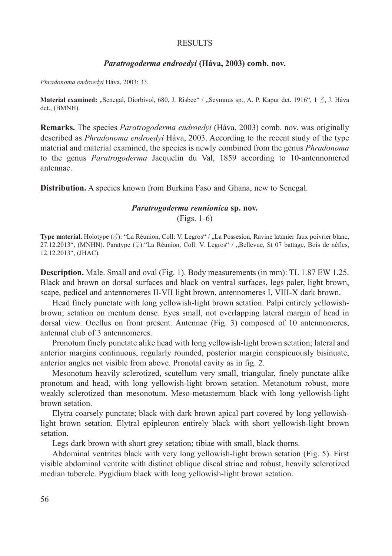#### **RESULTS**

### *Paratrogoderma endroedyi* **(Háva, 2003) comb. nov.**

*Phradonoma endroedyi* Háva, 2003: 33.

**Material examined:** "Senegal, Diorbivol, 680, J. Risbec" / "Scymnus sp., A. P. Kapur det. 1916", 1 Å, J. Háva det., (BMNH).

**Remarks.** The species *Paratrogoderma endroedyi* (Háva, 2003) comb. nov. was originally described as *Phradonoma endroedyi* Háva, 2003. According to the recent study of the type material and material examined, the species is newly combined from the genus *Phradonoma* to the genus *Paratrogoderma* Jacquelin du Val, 1859 according to 10-antennomered antennae.

**Distribution.** A species known from Burkina Faso and Ghana, new to Senegal.

# *Paratrogoderma reunionica* **sp. nov.**

(Figs. 1-6)

**Type material.** Holotype ( $\Diamond$ ): "La Réunion, Coll: V. Legros" / "La Possesion, Ravine latanier faux poivrier blanc, 27.12.2013", (MNHN). Paratype (♀):"La Réunion, Coll: V. Legros" / "Bellevue, St 07 battage, Bois de néfles, 12.12.2013", (JHAC).

**Description.** Male. Small and oval (Fig. 1). Body measurements (in mm): TL 1.87 EW 1.25. Black and brown on dorsal surfaces and black on ventral surfaces, legs paler, light brown, scape, pedicel and antennomeres II-VII light brown, antennomeres I, VIII-X dark brown.

Head finely punctate with long yellowish-light brown setation. Palpi entirely yellowishbrown; setation on mentum dense. Eyes small, not overlapping lateral margin of head in dorsal view. Ocellus on front present. Antennae (Fig. 3) composed of 10 antennomeres, antennal club of 3 antennomeres.

Pronotum finely punctate alike head with long yellowish-light brown setation; lateral and anterior margins continuous, regularly rounded, posterior margin conspicuously bisinuate, anterior angles not visible from above. Pronotal cavity as in fig. 2.

Mesonotum heavily sclerotized, scutellum very small, triangular, finely punctate alike pronotum and head, with long yellowish-light brown setation. Metanotum robust, more weakly sclerotized than mesonotum. Meso-metasternum black with long yellowish-light brown setation.

Elytra coarsely punctate; black with dark brown apical part covered by long yellowishlight brown setation. Elytral epipleuron entirely black with short yellowish-light brown setation.

Legs dark brown with short grey setation; tibiae with small, black thorns.

Abdominal ventrites black with very long yellowish-light brown setation (Fig. 5). First visible abdominal ventrite with distinct oblique discal striae and robust, heavily sclerotized median tubercle. Pygidium black with long yellowish-light brown setation.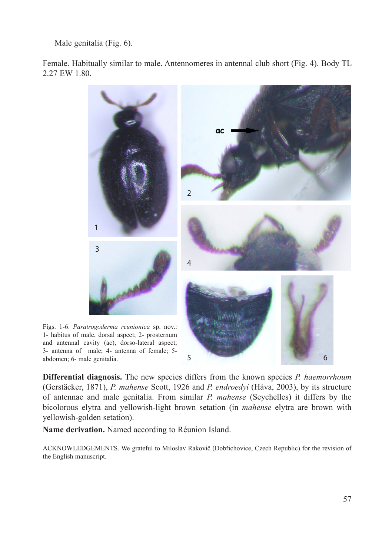Male genitalia (Fig. 6).

Female. Habitually similar to male. Antennomeres in antennal club short (Fig. 4). Body TL 2.27 EW 1.80.



3- antenna of male; 4- antenna of female; 5 abdomen; 6- male genitalia. 5 6 **Differential diagnosis.** The new species differs from the known species *P. haemorrhoum*

(Gerstäcker, 1871), *P. mahense* Scott, 1926 and *P. endroedyi* (Háva, 2003), by its structure of antennae and male genitalia. From similar *P. mahense* (Seychelles) it differs by the bicolorous elytra and yellowish-light brown setation (in *mahense* elytra are brown with yellowish-golden setation).

**Name derivation.** Named according to Réunion Island.

Acknowledgements. We grateful to Miloslav Rakovič (Dobřichovice, Czech Republic) for the revision of the English manuscript.